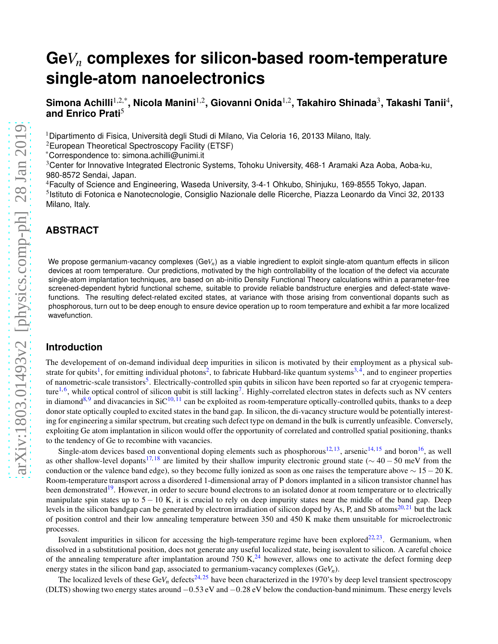# **Ge***V<sup>n</sup>* **complexes for silicon-based room-temperature single-atom nanoelectronics**

**Simona Achilli**1,2,\***, Nicola Manini**1,2**, Giovanni Onida**1,2**, Takahiro Shinada**<sup>3</sup> **, Takashi Tanii**<sup>4</sup> **,** and Enrico Prati<sup>5</sup>

<sup>1</sup> Dipartimento di Fisica, Università degli Studi di Milano, Via Celoria 16, 20133 Milano, Italy.

 $2$ European Theoretical Spectroscopy Facility (ETSF)

\*Correspondence to: simona.achilli@unimi.it

 $3$ Center for Innovative Integrated Electronic Systems, Tohoku University, 468-1 Aramaki Aza Aoba, Aoba-ku, 980-8572 Sendai, Japan.

<sup>4</sup>Faculty of Science and Engineering, Waseda University, 3-4-1 Ohkubo, Shinjuku, 169-8555 Tokyo, Japan.

<sup>5</sup>lstituto di Fotonica e Nanotecnologie, Consiglio Nazionale delle Ricerche, Piazza Leonardo da Vinci 32, 20133 Milano, Italy.

### **ABSTRACT**

We propose germanium-vacancy complexes (Ge*Vn*) as a viable ingredient to exploit single-atom quantum effects in silicon devices at room temperature. Our predictions, motivated by the high controllability of the location of the defect via accurate single-atom implantation techniques, are based on ab-initio Density Functional Theory calculations within a parameter-free screened-dependent hybrid functional scheme, suitable to provide reliable bandstructure energies and defect-state wavefunctions. The resulting defect-related excited states, at variance with those arising from conventional dopants such as phosphorous, turn out to be deep enough to ensure device operation up to room temperature and exhibit a far more localized wavefunction.

#### **Introduction**

The developement of on-demand individual deep impurities in silicon is motivated by their employment as a physical sub-strate for qubits<sup>[1](#page-6-0)</sup>, for emitting individual photons<sup>[2](#page-6-1)</sup>, to fabricate Hubbard-like quantum systems<sup>[3,](#page-6-2)[4](#page-6-3)</sup>, and to engineer properties of nanometric-scale transistors<sup>[5](#page-6-4)</sup>. Electrically-controlled spin qubits in silicon have been reported so far at cryogenic tempera-ture<sup>[1,](#page-6-0)[6](#page-6-5)</sup>, while optical control of silicon qubit is still lacking<sup>[7](#page-6-6)</sup>. Highly-correlated electron states in defects such as NV centers in diamond<sup>[8,](#page-6-7)[9](#page-6-8)</sup> and divacancies in SiC<sup>[10,](#page-6-9)[11](#page-7-0)</sup> can be exploited as room-temperature optically-controlled qubits, thanks to a deep donor state optically coupled to excited states in the band gap. In silicon, the di-vacancy structure would be potentially interesting for engineering a similar spectrum, but creating such defect type on demand in the bulk is currently unfeasible. Conversely, exploiting Ge atom implantation in silicon would offer the opportunity of correlated and controlled spatial positioning, thanks to the tendency of Ge to recombine with vacancies.

Single-atom devices based on conventional doping elements such as phosphorous<sup>[12,](#page-7-1)[13](#page-7-2)</sup>, arsenic<sup>[14,](#page-7-3)[15](#page-7-4)</sup> and boron<sup>[16](#page-7-5)</sup>, as well as other shallow-level dopants<sup>[17,](#page-7-6)[18](#page-7-7)</sup> are limited by their shallow impurity electronic ground state ( $\sim 40 - 50$  meV from the conduction or the valence band edge), so they become fully ionized as soon as one raises the temperature above  $\sim 15-20$  K. Room-temperature transport across a disordered 1-dimensional array of P donors implanted in a silicon transistor channel has been demonstrated<sup>[19](#page-7-8)</sup>. However, in order to secure bound electrons to an isolated donor at room temperature or to electrically manipulate spin states up to  $5 - 10$  K, it is crucial to rely on deep impurity states near the middle of the band gap. Deep levels in the silicon bandgap can be generated by electron irradiation of silicon doped by As, P, and Sb atoms $^{20,21}$  $^{20,21}$  $^{20,21}$  $^{20,21}$  but the lack of position control and their low annealing temperature between 350 and 450 K make them unsuitable for microelectronic processes.

Isovalent impurities in silicon for accessing the high-temperature regime have been explored<sup>[22,](#page-7-11)[23](#page-7-12)</sup>. Germanium, when dissolved in a substitutional position, does not generate any useful localized state, being isovalent to silicon. A careful choice of the annealing temperature after implantation around 750 K, $^{24}$  $^{24}$  $^{24}$  however, allows one to activate the defect forming deep energy states in the silicon band gap, associated to germanium-vacancy complexes (Ge*Vn*).

The localized levels of these  $GeV_n$  defects<sup>[24,](#page-7-13)[25](#page-7-14)</sup> have been characterized in the 1970's by deep level transient spectroscopy (DLTS) showing two energy states around −0.53 eV and −0.28 eV below the conduction-band minimum. These energy levels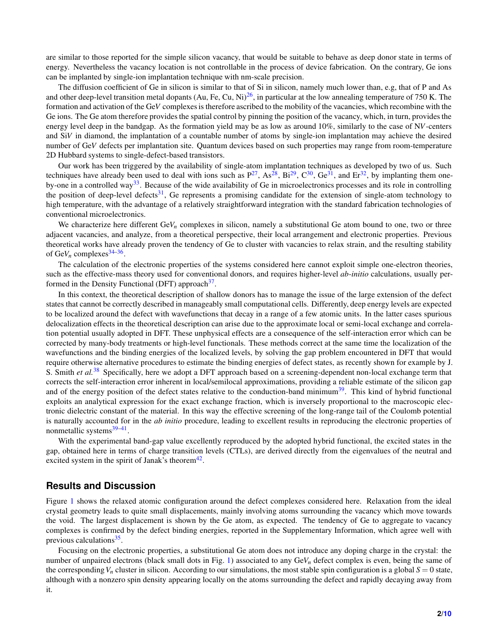are similar to those reported for the simple silicon vacancy, that would be suitable to behave as deep donor state in terms of energy. Nevertheless the vacancy location is not controllable in the process of device fabrication. On the contrary, Ge ions can be implanted by single-ion implantation technique with nm-scale precision.

The diffusion coefficient of Ge in silicon is similar to that of Si in silicon, namely much lower than, e.g, that of P and As and other deep-level transition metal dopants (Au, Fe, Cu, Ni)<sup>[26](#page-7-15)</sup>, in particular at the low annealing temperature of 750 K. The formation and activation of the Ge*V* complexes is therefore ascribed to the mobility of the vacancies, which recombine with the Ge ions. The Ge atom therefore provides the spatial control by pinning the position of the vacancy, which, in turn, provides the energy level deep in the bandgap. As the formation yield may be as low as around 10%, similarly to the case of N*V*-centers and Si*V* in diamond, the implantation of a countable number of atoms by single-ion implantation may achieve the desired number of Ge*V* defects per implantation site. Quantum devices based on such properties may range from room-temperature 2D Hubbard systems to single-defect-based transistors.

Our work has been triggered by the availability of single-atom implantation techniques as developed by two of us. Such techniques have already been used to deal with ions such as  $P^{27}$  $P^{27}$  $P^{27}$ ,  $As^{28}$  $As^{28}$  $As^{28}$ ,  $Bi^{29}$  $Bi^{29}$  $Bi^{29}$ ,  $C^{30}$  $C^{30}$  $C^{30}$ ,  $Ge^{31}$  $Ge^{31}$  $Ge^{31}$ , and  $Er^{32}$  $Er^{32}$  $Er^{32}$ , by implanting them one-by-one in a controlled way<sup>[33](#page-7-22)</sup>. Because of the wide availability of Ge in microelectronics processes and its role in controlling the position of deep-level defects<sup>[31](#page-7-20)</sup>, Ge represents a promising candidate for the extension of single-atom technology to high temperature, with the advantage of a relatively straightforward integration with the standard fabrication technologies of conventional microelectronics.

We characterize here different GeV<sub>n</sub> complexes in silicon, namely a substitutional Ge atom bound to one, two or three adjacent vacancies, and analyze, from a theoretical perspective, their local arrangement and electronic properties. Previous theoretical works have already proven the tendency of Ge to cluster with vacancies to relax strain, and the resulting stability of  $GeV_n$  complexes<sup>[34–](#page-7-23)[36](#page-8-0)</sup>.

The calculation of the electronic properties of the systems considered here cannot exploit simple one-electron theories, such as the effective-mass theory used for conventional donors, and requires higher-level *ab-initio* calculations, usually per-formed in the Density Functional (DFT) approach<sup>[37](#page-8-1)</sup>.

In this context, the theoretical description of shallow donors has to manage the issue of the large extension of the defect states that cannot be correctly described in manageably small computational cells. Differently, deep energy levels are expected to be localized around the defect with wavefunctions that decay in a range of a few atomic units. In the latter cases spurious delocalization effects in the theoretical description can arise due to the approximate local or semi-local exchange and correlation potential usually adopted in DFT. These unphysical effects are a consequence of the self-interaction error which can be corrected by many-body treatments or high-level functionals. These methods correct at the same time the localization of the wavefunctions and the binding energies of the localized levels, by solving the gap problem encountered in DFT that would require otherwise alternative procedures to estimate the binding energies of defect states, as recently shown for example by J. S. Smith *et al.*[38](#page-8-2) Specifically, here we adopt a DFT approach based on a screening-dependent non-local exchange term that corrects the self-interaction error inherent in local/semilocal approximations, providing a reliable estimate of the silicon gap and of the energy position of the defect states relative to the conduction-band minimum $39$ . This kind of hybrid functional exploits an analytical expression for the exact exchange fraction, which is inversely proportional to the macroscopic electronic dielectric constant of the material. In this way the effective screening of the long-range tail of the Coulomb potential is naturally accounted for in the *ab initio* procedure, leading to excellent results in reproducing the electronic properties of nonmetallic systems<sup>[39](#page-8-3)[–41](#page-8-4)</sup>.

With the experimental band-gap value excellently reproduced by the adopted hybrid functional, the excited states in the gap, obtained here in terms of charge transition levels (CTLs), are derived directly from the eigenvalues of the neutral and excited system in the spirit of Janak's theorem $42$ .

#### **Results and Discussion**

Figure [1](#page-2-0) shows the relaxed atomic configuration around the defect complexes considered here. Relaxation from the ideal crystal geometry leads to quite small displacements, mainly involving atoms surrounding the vacancy which move towards the void. The largest displacement is shown by the Ge atom, as expected. The tendency of Ge to aggregate to vacancy complexes is confirmed by the defect binding energies, reported in the Supplementary Information, which agree well with previous calculations<sup>[35](#page-8-6)</sup>.

Focusing on the electronic properties, a substitutional Ge atom does not introduce any doping charge in the crystal: the number of unpaired electrons (black small dots in Fig. [1\)](#page-2-0) associated to any Ge*V<sup>n</sup>* defect complex is even, being the same of the corresponding  $V_n$  cluster in silicon. According to our simulations, the most stable spin configuration is a global  $S = 0$  state, although with a nonzero spin density appearing locally on the atoms surrounding the defect and rapidly decaying away from it.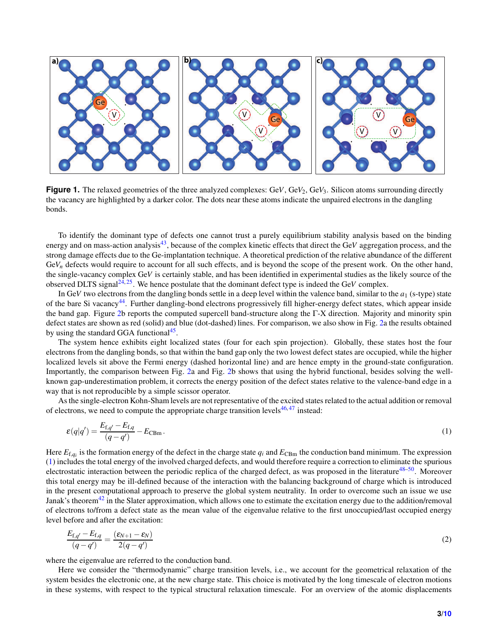<span id="page-2-0"></span>

**Figure 1.** The relaxed geometries of the three analyzed complexes:  $GeV$ ,  $GeV$ <sub>2</sub>,  $GeV$ <sub>3</sub>. Silicon atoms surrounding directly the vacancy are highlighted by a darker color. The dots near these atoms indicate the unpaired electrons in the dangling bonds.

To identify the dominant type of defects one cannot trust a purely equilibrium stability analysis based on the binding energy and on mass-action analysis[43](#page-8-7), because of the complex kinetic effects that direct the Ge*V* aggregation process, and the strong damage effects due to the Ge-implantation technique. A theoretical prediction of the relative abundance of the different  $GeV_n$  defects would require to account for all such effects, and is beyond the scope of the present work. On the other hand, the single-vacancy complex Ge*V* is certainly stable, and has been identified in experimental studies as the likely source of the observed DLTS signal<sup>[24,](#page-7-13)[25](#page-7-14)</sup>. We hence postulate that the dominant defect type is indeed the GeV complex.

In Ge*V* two electrons from the dangling bonds settle in a deep level within the valence band, similar to the *a*<sup>1</sup> (s-type) state of the bare Si vacancy[44](#page-8-8). Further dangling-bond electrons progressively fill higher-energy defect states, which appear inside the band gap. Figure [2b](#page-3-0) reports the computed supercell band-structure along the Γ-X direction. Majority and minority spin defect states are shown as red (solid) and blue (dot-dashed) lines. For comparison, we also show in Fig. [2a](#page-3-0) the results obtained by using the standard GGA functional<sup>[45](#page-8-9)</sup>.

The system hence exhibits eight localized states (four for each spin projection). Globally, these states host the four electrons from the dangling bonds, so that within the band gap only the two lowest defect states are occupied, while the higher localized levels sit above the Fermi energy (dashed horizontal line) and are hence empty in the ground-state configuration. Importantly, the comparison between Fig. [2a](#page-3-0) and Fig. [2b](#page-3-0) shows that using the hybrid functional, besides solving the wellknown gap-underestimation problem, it corrects the energy position of the defect states relative to the valence-band edge in a way that is not reproducible by a simple scissor operator.

As the single-electron Kohn-Sham levels are not representative of the excited states related to the actual addition or removal of electrons, we need to compute the appropriate charge transition levels $46,47$  $46,47$  instead:

<span id="page-2-1"></span>
$$
\varepsilon(q|q') = \frac{E_{\text{f},q'} - E_{\text{f},q}}{(q-q')} - E_{\text{CBm}}.
$$
\n(1)

Here  $E_{f,q_i}$  is the formation energy of the defect in the charge state  $q_i$  and  $E_{\text{CBm}}$  the conduction band minimum. The expression [\(1\)](#page-2-1) includes the total energy of the involved charged defects, and would therefore require a correction to eliminate the spurious electrostatic interaction between the periodic replica of the charged defect, as was proposed in the literature<sup>[48–](#page-8-12)[50](#page-8-13)</sup>. Moreover this total energy may be ill-defined because of the interaction with the balancing background of charge which is introduced in the present computational approach to preserve the global system neutrality. In order to overcome such an issue we use Janak's theorem<sup>[42](#page-8-5)</sup> in the Slater approximation, which allows one to estimate the excitation energy due to the addition/removal of electrons to/from a defect state as the mean value of the eigenvalue relative to the first unoccupied/last occupied energy level before and after the excitation:

$$
\frac{E_{\text{f},q'} - E_{\text{f},q}}{(q - q')} = \frac{(\varepsilon_{N+1} - \varepsilon_N)}{2(q - q')} \tag{2}
$$

where the eigenvalue are referred to the conduction band.

Here we consider the "thermodynamic" charge transition levels, i.e., we account for the geometrical relaxation of the system besides the electronic one, at the new charge state. This choice is motivated by the long timescale of electron motions in these systems, with respect to the typical structural relaxation timescale. For an overview of the atomic displacements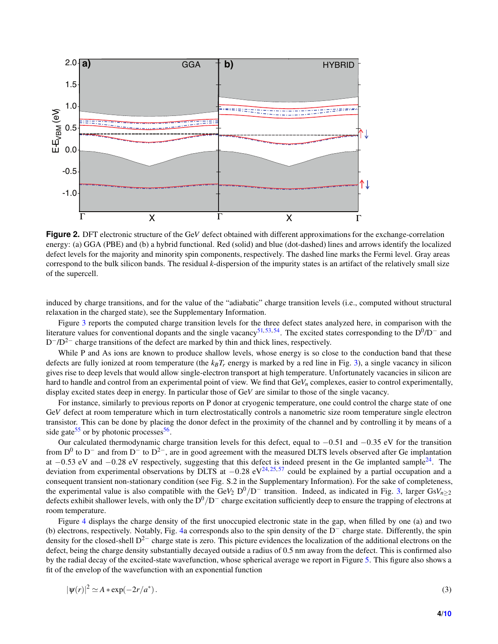<span id="page-3-0"></span>

**Figure 2.** DFT electronic structure of the Ge*V* defect obtained with different approximations for the exchange-correlation energy: (a) GGA (PBE) and (b) a hybrid functional. Red (solid) and blue (dot-dashed) lines and arrows identify the localized defect levels for the majority and minority spin components, respectively. The dashed line marks the Fermi level. Gray areas correspond to the bulk silicon bands. The residual *k*-dispersion of the impurity states is an artifact of the relatively small size of the supercell.

induced by charge transitions, and for the value of the "adiabatic" charge transition levels (i.e., computed without structural relaxation in the charged state), see the Supplementary Information.

Figure [3](#page-4-0) reports the computed charge transition levels for the three defect states analyzed here, in comparison with the literature values for conventional dopants and the single vacancy<sup>[51,](#page-8-14)[53,](#page-8-15)[54](#page-8-16)</sup>. The excited states corresponding to the  $D^0/D^-$  and  $D^{-}/D^{2-}$  charge transitions of the defect are marked by thin and thick lines, respectively.

While P and As ions are known to produce shallow levels, whose energy is so close to the conduction band that these defects are fully ionized at room temperature (the  $k_B T_r$  energy is marked by a red line in Fig. [3\)](#page-4-0), a single vacancy in silicon gives rise to deep levels that would allow single-electron transport at high temperature. Unfortunately vacancies in silicon are hard to handle and control from an experimental point of view. We find that Ge*V<sup>n</sup>* complexes, easier to control experimentally, display excited states deep in energy. In particular those of Ge*V* are similar to those of the single vacancy.

For instance, similarly to previous reports on P donor at cryogenic temperature, one could control the charge state of one GeV defect at room temperature which in turn electrostatically controls a nanometric size room temperature single electron transistor. This can be done by placing the donor defect in the proximity of the channel and by controlling it by means of a side gate<sup>[55](#page-8-17)</sup> or by photonic processes<sup>[56](#page-8-18)</sup>.

Our calculated thermodynamic charge transition levels for this defect, equal to −0.51 and −0.35 eV for the transition from  $D^0$  to  $D^-$  and from  $D^-$  to  $D^{2-}$ , are in good agreement with the measured DLTS levels observed after Ge implantation at  $-0.53$  eV and  $-0.28$  eV respectively, suggesting that this defect is indeed present in the Ge implanted sample<sup>[24](#page-7-13)</sup>. The deviation from experimental observations by DLTS at  $-0.28$  eV<sup>[24,](#page-7-13)[25,](#page-7-14)[57](#page-8-19)</sup> could be explained by a partial occupation and a consequent transient non-stationary condition (see Fig. S.2 in the Supplementary Information). For the sake of completeness, the experimental value is also compatible with the GeV<sub>2</sub>  $D^0/D^-$  transition. Indeed, as indicated in Fig. [3,](#page-4-0) larger GsV<sub>*n*≥2</sub> defects exhibit shallower levels, with only the  $D^0/D^-$  charge excitation sufficiently deep to ensure the trapping of electrons at room temperature.

Figure [4](#page-4-1) displays the charge density of the first unoccupied electronic state in the gap, when filled by one (a) and two (b) electrons, respectively. Notably, Fig. [4a](#page-4-1) corresponds also to the spin density of the D<sup>−</sup> charge state. Differently, the spin density for the closed-shell  $D^{2-}$  charge state is zero. This picture evidences the localization of the additional electrons on the defect, being the charge density substantially decayed outside a radius of 0.5 nm away from the defect. This is confirmed also by the radial decay of the excited-state wavefunction, whose spherical average we report in Figure [5.](#page-5-0) This figure also shows a fit of the envelop of the wavefunction with an exponential function

<span id="page-3-1"></span>
$$
|\psi(r)|^2 \simeq A \cdot \exp(-2r/a^*). \tag{3}
$$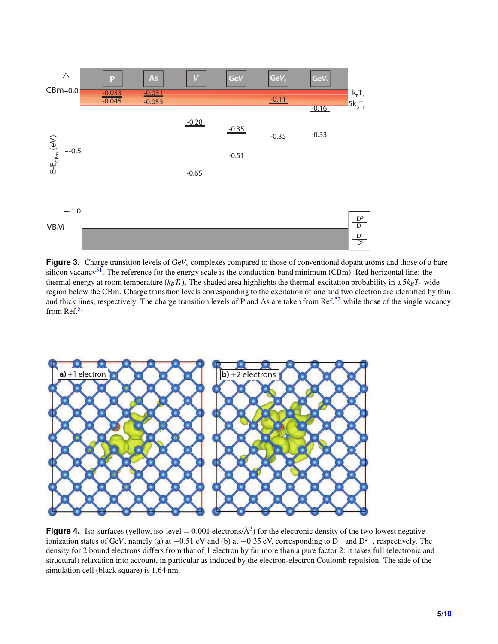<span id="page-4-0"></span>

**Figure 3.** Charge transition levels of GeV<sub>n</sub> complexes compared to those of conventional dopant atoms and those of a bare silicon vacancy<sup>[51](#page-8-14)</sup>. The reference for the energy scale is the conduction-band minimum (CBm). Red horizontal line: the thermal energy at room temperature  $(k_B T_r)$ . The shaded area highlights the thermal-excitation probability in a  $5k_B T_r$ -wide region below the CBm. Charge transition levels corresponding to the excitation of one and two electron are identified by thin and thick lines, respectively. The charge transition levels of P and As are taken from Ref.<sup>[52](#page-8-20)</sup> while those of the single vacancy from Ref.<sup>[51](#page-8-14)</sup>

<span id="page-4-1"></span>

**Figure 4.** Iso-surfaces (yellow, iso-level  $= 0.001$  electrons/ $\AA$ <sup>3</sup>) for the electronic density of the two lowest negative ionization states of Ge*V*, namely (a) at −0.51 eV and (b) at −0.35 eV, corresponding to D<sup>−</sup> and D2−, respectively. The density for 2 bound electrons differs from that of 1 electron by far more than a pure factor 2: it takes full (electronic and structural) relaxation into account, in particular as induced by the electron-electron Coulomb repulsion. The side of the simulation cell (black square) is 1.64 nm.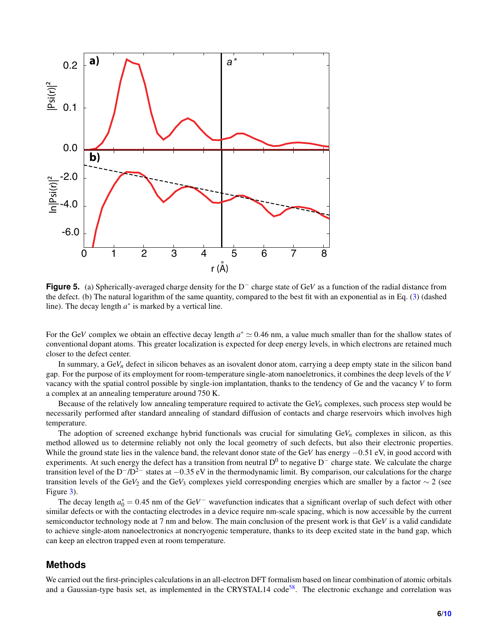<span id="page-5-0"></span>

**Figure 5.** (a) Spherically-averaged charge density for the D<sup>−</sup> charge state of Ge*V* as a function of the radial distance from the defect. (b) The natural logarithm of the same quantity, compared to the best fit with an exponential as in Eq. [\(3\)](#page-3-1) (dashed line). The decay length  $a^*$  is marked by a vertical line.

For the GeV complex we obtain an effective decay length  $a^* \simeq 0.46$  nm, a value much smaller than for the shallow states of conventional dopant atoms. This greater localization is expected for deep energy levels, in which electrons are retained much closer to the defect center.

In summary, a  $GeV_n$  defect in silicon behaves as an isovalent donor atom, carrying a deep empty state in the silicon band gap. For the purpose of its employment for room-temperature single-atom nanoeletronics, it combines the deep levels of the *V* vacancy with the spatial control possible by single-ion implantation, thanks to the tendency of Ge and the vacancy *V* to form a complex at an annealing temperature around 750 K.

Because of the relatively low annealing temperature required to activate the  $GeV<sub>n</sub>$  complexes, such process step would be necessarily performed after standard annealing of standard diffusion of contacts and charge reservoirs which involves high temperature.

The adoption of screened exchange hybrid functionals was crucial for simulating Ge*V<sup>n</sup>* complexes in silicon, as this method allowed us to determine reliably not only the local geometry of such defects, but also their electronic properties. While the ground state lies in the valence band, the relevant donor state of the GeV has energy −0.51 eV, in good accord with experiments. At such energy the defect has a transition from neutral D<sup>0</sup> to negative D<sup>−</sup> charge state. We calculate the charge transition level of the D<sup>−</sup>/D<sup>2−</sup> states at  $-0.35$  eV in the thermodynamic limit. By comparison, our calculations for the charge transition levels of the GeV<sub>2</sub> and the GeV<sub>3</sub> complexes yield corresponding energies which are smaller by a factor  $\sim$  2 (see Figure [3\)](#page-4-0).

The decay length  $a_0^* = 0.45$  nm of the GeV<sup>-</sup> wavefunction indicates that a significant overlap of such defect with other similar defects or with the contacting electrodes in a device require nm-scale spacing, which is now accessible by the current semiconductor technology node at 7 nm and below. The main conclusion of the present work is that Ge*V* is a valid candidate to achieve single-atom nanoelectronics at noncryogenic temperature, thanks to its deep excited state in the band gap, which can keep an electron trapped even at room temperature.

#### **Methods**

We carried out the first-principles calculations in an all-electron DFT formalism based on linear combination of atomic orbitals and a Gaussian-type basis set, as implemented in the CRYSTAL14 code<sup>[58](#page-8-21)</sup>. The electronic exchange and correlation was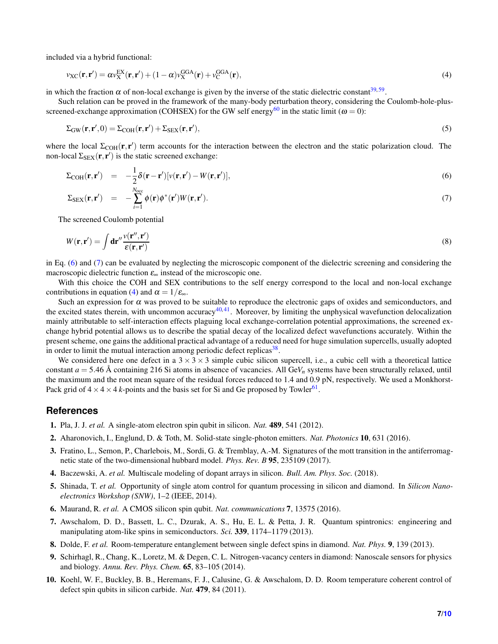included via a hybrid functional:

<span id="page-6-11"></span>
$$
\nu_{\text{XC}}(\mathbf{r}, \mathbf{r}') = \alpha \nu_{\text{X}}^{\text{EX}}(\mathbf{r}, \mathbf{r}') + (1 - \alpha) \nu_{\text{X}}^{\text{GGA}}(\mathbf{r}) + \nu_{\text{C}}^{\text{GGA}}(\mathbf{r}),
$$
\n(4)

in which the fraction  $\alpha$  of non-local exchange is given by the inverse of the static dielectric constant<sup>[39,](#page-8-3)[59](#page-8-22)</sup>.

Such relation can be proved in the framework of the many-body perturbation theory, considering the Coulomb-hole-plus-screened-exchange approximation (COHSEX) for the GW self energy<sup>[60](#page-8-23)</sup> in the static limit ( $\omega = 0$ ):

$$
\Sigma_{GW}(\mathbf{r}, \mathbf{r}', 0) = \Sigma_{COH}(\mathbf{r}, \mathbf{r}') + \Sigma_{SEX}(\mathbf{r}, \mathbf{r}'),
$$
\n(5)

where the local  $\Sigma_{\text{COH}}(\mathbf{r}, \mathbf{r}')$  term accounts for the interaction between the electron and the static polarization cloud. The non-local  $\Sigma_{\text{SEX}}(\mathbf{r}, \mathbf{r}')$  is the static screened exchange:

<span id="page-6-10"></span>
$$
\Sigma_{\text{COH}}(\mathbf{r}, \mathbf{r}') = -\frac{1}{2}\delta(\mathbf{r} - \mathbf{r}')[v(\mathbf{r}, \mathbf{r}') - W(\mathbf{r}, \mathbf{r}')] \tag{6}
$$

$$
\Sigma_{\text{SEX}}(\mathbf{r}, \mathbf{r}') = -\sum_{i=1}^{N_{\text{occ}}} \phi(\mathbf{r}) \phi^*(\mathbf{r}') W(\mathbf{r}, \mathbf{r}'). \tag{7}
$$

The screened Coulomb potential

$$
W(\mathbf{r}, \mathbf{r}') = \int \mathbf{d}\mathbf{r}'' \frac{v(\mathbf{r}'', \mathbf{r}')}{\varepsilon(\mathbf{r}, \mathbf{r}')} \tag{8}
$$

in Eq. [\(6\)](#page-6-10) and [\(7\)](#page-6-10) can be evaluated by neglecting the microscopic component of the dielectric screening and considering the macroscopic dielectric function  $\varepsilon_{\infty}$  instead of the microscopic one.

With this choice the COH and SEX contributions to the self energy correspond to the local and non-local exchange contributions in equation [\(4\)](#page-6-11) and  $\alpha = 1/\varepsilon_{\infty}$ .

Such an expression for  $\alpha$  was proved to be suitable to reproduce the electronic gaps of oxides and semiconductors, and the excited states therein, with uncommon accuracy<sup>[40,](#page-8-24)[41](#page-8-4)</sup>. Moreover, by limiting the unphysical wavefunction delocalization mainly attributable to self-interaction effects plaguing local exchange-correlation potential approximations, the screened exchange hybrid potential allows us to describe the spatial decay of the localized defect wavefunctions accurately. Within the present scheme, one gains the additional practical advantage of a reduced need for huge simulation supercells, usually adopted in order to limit the mutual interaction among periodic defect replicas $38$ .

We considered here one defect in a  $3 \times 3 \times 3$  simple cubic silicon supercell, i.e., a cubic cell with a theoretical lattice constant  $a = 5.46$  Å containing 216 Si atoms in absence of vacancies. All GeV<sub>n</sub> systems have been structurally relaxed, until the maximum and the root mean square of the residual forces reduced to 1.4 and 0.9 pN, respectively. We used a Monkhorst-Pack grid of  $4 \times 4 \times 4$  *k*-points and the basis set for Si and Ge proposed by Towler<sup>[61](#page-8-25)</sup>.

#### <span id="page-6-0"></span>**References**

- <span id="page-6-1"></span>1. Pla, J. J. *et al.* A single-atom electron spin qubit in silicon. *Nat.* 489, 541 (2012).
- <span id="page-6-2"></span>2. Aharonovich, I., Englund, D. & Toth, M. Solid-state single-photon emitters. *Nat. Photonics* 10, 631 (2016).
- <span id="page-6-3"></span>3. Fratino, L., Semon, P., Charlebois, M., Sordi, G. & Tremblay, A.-M. Signatures of the mott transition in the antiferromagnetic state of the two-dimensional hubbard model. *Phys. Rev. B* 95, 235109 (2017).
- <span id="page-6-4"></span>4. Baczewski, A. *et al.* Multiscale modeling of dopant arrays in silicon. *Bull. Am. Phys. Soc.* (2018).
- <span id="page-6-5"></span>5. Shinada, T. *et al.* Opportunity of single atom control for quantum processing in silicon and diamond. In *Silicon Nanoelectronics Workshop (SNW)*, 1–2 (IEEE, 2014).
- <span id="page-6-6"></span>6. Maurand, R. *et al.* A CMOS silicon spin qubit. *Nat. communications* 7, 13575 (2016).
- <span id="page-6-7"></span>7. Awschalom, D. D., Bassett, L. C., Dzurak, A. S., Hu, E. L. & Petta, J. R. Quantum spintronics: engineering and manipulating atom-like spins in semiconductors. *Sci.* 339, 1174–1179 (2013).
- <span id="page-6-8"></span>8. Dolde, F. *et al.* Room-temperature entanglement between single defect spins in diamond. *Nat. Phys.* 9, 139 (2013).
- <span id="page-6-9"></span>9. Schirhagl, R., Chang, K., Loretz, M. & Degen, C. L. Nitrogen-vacancy centers in diamond: Nanoscale sensors for physics and biology. *Annu. Rev. Phys. Chem.* 65, 83–105 (2014).
- 10. Koehl, W. F., Buckley, B. B., Heremans, F. J., Calusine, G. & Awschalom, D. D. Room temperature coherent control of defect spin qubits in silicon carbide. *Nat.* 479, 84 (2011).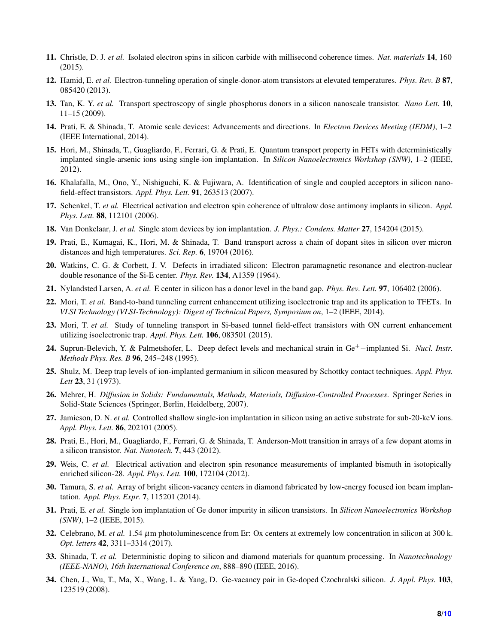- <span id="page-7-1"></span><span id="page-7-0"></span>11. Christle, D. J. *et al.* Isolated electron spins in silicon carbide with millisecond coherence times. *Nat. materials* 14, 160 (2015).
- <span id="page-7-2"></span>12. Hamid, E. *et al.* Electron-tunneling operation of single-donor-atom transistors at elevated temperatures. *Phys. Rev. B* 87, 085420 (2013).
- <span id="page-7-3"></span>13. Tan, K. Y. *et al.* Transport spectroscopy of single phosphorus donors in a silicon nanoscale transistor. *Nano Lett.* 10, 11–15 (2009).
- <span id="page-7-4"></span>14. Prati, E. & Shinada, T. Atomic scale devices: Advancements and directions. In *Electron Devices Meeting (IEDM)*, 1–2 (IEEE International, 2014).
- 15. Hori, M., Shinada, T., Guagliardo, F., Ferrari, G. & Prati, E. Quantum transport property in FETs with deterministically implanted single-arsenic ions using single-ion implantation. In *Silicon Nanoelectronics Workshop (SNW)*, 1–2 (IEEE, 2012).
- <span id="page-7-6"></span><span id="page-7-5"></span>16. Khalafalla, M., Ono, Y., Nishiguchi, K. & Fujiwara, A. Identification of single and coupled acceptors in silicon nanofield-effect transistors. *Appl. Phys. Lett.* 91, 263513 (2007).
- <span id="page-7-7"></span>17. Schenkel, T. *et al.* Electrical activation and electron spin coherence of ultralow dose antimony implants in silicon. *Appl. Phys. Lett.* 88, 112101 (2006).
- <span id="page-7-8"></span>18. Van Donkelaar, J. *et al.* Single atom devices by ion implantation. *J. Phys.: Condens. Matter* 27, 154204 (2015).
- <span id="page-7-9"></span>19. Prati, E., Kumagai, K., Hori, M. & Shinada, T. Band transport across a chain of dopant sites in silicon over micron distances and high temperatures. *Sci. Rep.* 6, 19704 (2016).
- <span id="page-7-10"></span>20. Watkins, C. G. & Corbett, J. V. Defects in irradiated silicon: Electron paramagnetic resonance and electron-nuclear double resonance of the Si-E center. *Phys. Rev.* 134, A1359 (1964).
- <span id="page-7-11"></span>21. Nylandsted Larsen, A. *et al.* E center in silicon has a donor level in the band gap. *Phys. Rev. Lett.* 97, 106402 (2006).
- <span id="page-7-12"></span>22. Mori, T. *et al.* Band-to-band tunneling current enhancement utilizing isoelectronic trap and its application to TFETs. In *VLSI Technology (VLSI-Technology): Digest of Technical Papers, Symposium on*, 1–2 (IEEE, 2014).
- <span id="page-7-13"></span>23. Mori, T. *et al.* Study of tunneling transport in Si-based tunnel field-effect transistors with ON current enhancement utilizing isoelectronic trap. *Appl. Phys. Lett.* 106, 083501 (2015).
- <span id="page-7-14"></span>24. Suprun-Belevich, Y. & Palmetshofer, L. Deep defect levels and mechanical strain in Ge+−implanted Si. *Nucl. Instr. Methods Phys. Res. B* 96, 245–248 (1995).
- <span id="page-7-15"></span>25. Shulz, M. Deep trap levels of ion-implanted germanium in silicon measured by Schottky contact techniques. *Appl. Phys. Lett* 23, 31 (1973).
- <span id="page-7-16"></span>26. Mehrer, H. *Diffusion in Solids: Fundamentals, Methods, Materials, Diffusion-Controlled Processes*. Springer Series in Solid-State Sciences (Springer, Berlin, Heidelberg, 2007).
- <span id="page-7-17"></span>27. Jamieson, D. N. *et al.* Controlled shallow single-ion implantation in silicon using an active substrate for sub-20-keV ions. *Appl. Phys. Lett.* 86, 202101 (2005).
- <span id="page-7-18"></span>28. Prati, E., Hori, M., Guagliardo, F., Ferrari, G. & Shinada, T. Anderson-Mott transition in arrays of a few dopant atoms in a silicon transistor. *Nat. Nanotech.* 7, 443 (2012).
- <span id="page-7-19"></span>29. Weis, C. *et al.* Electrical activation and electron spin resonance measurements of implanted bismuth in isotopically enriched silicon-28. *Appl. Phys. Lett.* 100, 172104 (2012).
- <span id="page-7-20"></span>30. Tamura, S. *et al.* Array of bright silicon-vacancy centers in diamond fabricated by low-energy focused ion beam implantation. *Appl. Phys. Expr.* 7, 115201 (2014).
- <span id="page-7-21"></span>31. Prati, E. *et al.* Single ion implantation of Ge donor impurity in silicon transistors. In *Silicon Nanoelectronics Workshop (SNW)*, 1–2 (IEEE, 2015).
- <span id="page-7-22"></span>32. Celebrano, M. *et al.* 1.54  $\mu$ m photoluminescence from Er: Ox centers at extremely low concentration in silicon at 300 k. *Opt. letters* 42, 3311–3314 (2017).
- <span id="page-7-23"></span>33. Shinada, T. *et al.* Deterministic doping to silicon and diamond materials for quantum processing. In *Nanotechnology (IEEE-NANO), 16th International Conference on*, 888–890 (IEEE, 2016).
- 34. Chen, J., Wu, T., Ma, X., Wang, L. & Yang, D. Ge-vacancy pair in Ge-doped Czochralski silicon. *J. Appl. Phys.* 103, 123519 (2008).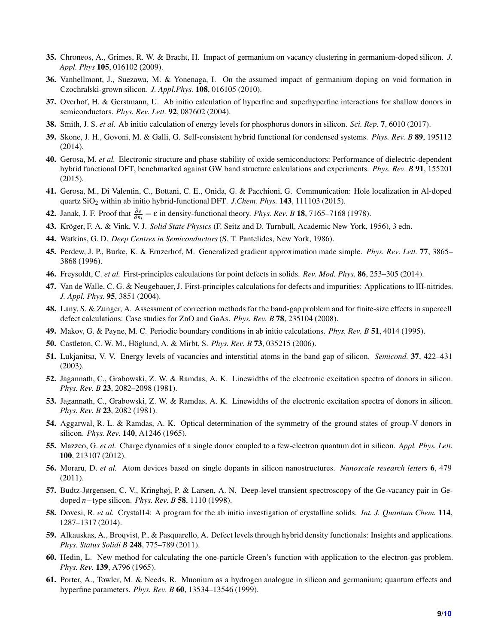- <span id="page-8-6"></span><span id="page-8-0"></span>35. Chroneos, A., Grimes, R. W. & Bracht, H. Impact of germanium on vacancy clustering in germanium-doped silicon. *J. Appl. Phys* 105, 016102 (2009).
- <span id="page-8-1"></span>36. Vanhellmont, J., Suezawa, M. & Yonenaga, I. On the assumed impact of germanium doping on void formation in Czochralski-grown silicon. *J. Appl.Phys.* 108, 016105 (2010).
- <span id="page-8-2"></span>37. Overhof, H. & Gerstmann, U. Ab initio calculation of hyperfine and superhyperfine interactions for shallow donors in semiconductors. *Phys. Rev. Lett.* 92, 087602 (2004).
- <span id="page-8-3"></span>38. Smith, J. S. *et al.* Ab initio calculation of energy levels for phosphorus donors in silicon. *Sci. Rep.* 7, 6010 (2017).
- <span id="page-8-24"></span>39. Skone, J. H., Govoni, M. & Galli, G. Self-consistent hybrid functional for condensed systems. *Phys. Rev. B* 89, 195112 (2014).
- 40. Gerosa, M. *et al.* Electronic structure and phase stability of oxide semiconductors: Performance of dielectric-dependent hybrid functional DFT, benchmarked against GW band structure calculations and experiments. *Phys. Rev. B* 91, 155201 (2015).
- <span id="page-8-5"></span><span id="page-8-4"></span>41. Gerosa, M., Di Valentin, C., Bottani, C. E., Onida, G. & Pacchioni, G. Communication: Hole localization in Al-doped quartz SiO<sup>2</sup> within ab initio hybrid-functional DFT. *J.Chem. Phys.* 143, 111103 (2015).
- <span id="page-8-7"></span>**42.** Janak, J. F. Proof that  $\frac{\partial e}{\partial n_i} = \varepsilon$  in density-functional theory. *Phys. Rev. B* **18**, 7165–7168 (1978).
- <span id="page-8-8"></span>43. Kröger, F. A. & Vink, V. J. *Solid State Physics* (F. Seitz and D. Turnbull, Academic New York, 1956), 3 edn.
- <span id="page-8-9"></span>44. Watkins, G. D. *Deep Centres in Semiconductors* (S. T. Pantelides, New York, 1986).
- <span id="page-8-10"></span>45. Perdew, J. P., Burke, K. & Ernzerhof, M. Generalized gradient approximation made simple. *Phys. Rev. Lett.* 77, 3865– 3868 (1996).
- <span id="page-8-11"></span>46. Freysoldt, C. *et al.* First-principles calculations for point defects in solids. *Rev. Mod. Phys.* 86, 253–305 (2014).
- <span id="page-8-12"></span>47. Van de Walle, C. G. & Neugebauer, J. First-principles calculations for defects and impurities: Applications to III-nitrides. *J. Appl. Phys.* 95, 3851 (2004).
- 48. Lany, S. & Zunger, A. Assessment of correction methods for the band-gap problem and for finite-size effects in supercell defect calculations: Case studies for ZnO and GaAs. *Phys. Rev. B* 78, 235104 (2008).
- <span id="page-8-13"></span>49. Makov, G. & Payne, M. C. Periodic boundary conditions in ab initio calculations. *Phys. Rev. B* 51, 4014 (1995).
- <span id="page-8-14"></span>50. Castleton, C. W. M., Höglund, A. & Mirbt, S. Phys. Rev. B 73, 035215 (2006).
- <span id="page-8-20"></span>51. Lukjanitsa, V. V. Energy levels of vacancies and interstitial atoms in the band gap of silicon. *Semicond.* 37, 422–431 (2003).
- <span id="page-8-15"></span>52. Jagannath, C., Grabowski, Z. W. & Ramdas, A. K. Linewidths of the electronic excitation spectra of donors in silicon. *Phys. Rev. B* 23, 2082–2098 (1981).
- <span id="page-8-16"></span>53. Jagannath, C., Grabowski, Z. W. & Ramdas, A. K. Linewidths of the electronic excitation spectra of donors in silicon. *Phys. Rev. B* 23, 2082 (1981).
- <span id="page-8-17"></span>54. Aggarwal, R. L. & Ramdas, A. K. Optical determination of the symmetry of the ground states of group-V donors in silicon. *Phys. Rev.* 140, A1246 (1965).
- <span id="page-8-18"></span>55. Mazzeo, G. *et al.* Charge dynamics of a single donor coupled to a few-electron quantum dot in silicon. *Appl. Phys. Lett.* 100, 213107 (2012).
- <span id="page-8-19"></span>56. Moraru, D. *et al.* Atom devices based on single dopants in silicon nanostructures. *Nanoscale research letters* 6, 479 (2011).
- <span id="page-8-21"></span>57. Budtz-Jørgensen, C. V., Kringhøj, P. & Larsen, A. N. Deep-level transient spectroscopy of the Ge-vacancy pair in Gedoped *n*−type silicon. *Phys. Rev. B* 58, 1110 (1998).
- <span id="page-8-22"></span>58. Dovesi, R. *et al.* Crystal14: A program for the ab initio investigation of crystalline solids. *Int. J. Quantum Chem.* 114, 1287–1317 (2014).
- <span id="page-8-23"></span>59. Alkauskas, A., Broqvist, P., & Pasquarello, A. Defect levels through hybrid density functionals: Insights and applications. *Phys. Status Solidi B* 248, 775–789 (2011).
- <span id="page-8-25"></span>60. Hedin, L. New method for calculating the one-particle Green's function with application to the electron-gas problem. *Phys. Rev.* 139, A796 (1965).
- 61. Porter, A., Towler, M. & Needs, R. Muonium as a hydrogen analogue in silicon and germanium; quantum effects and hyperfine parameters. *Phys. Rev. B* 60, 13534–13546 (1999).